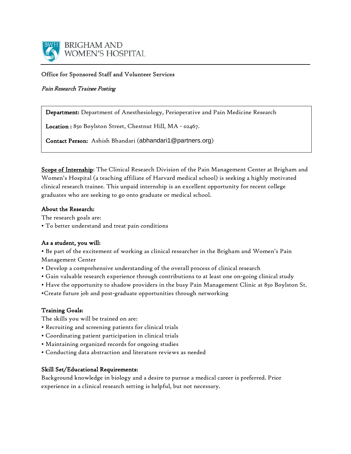

### Office for Sponsored Staff and Volunteer Services

## Pain Research Trainee Posting

Department: Department of Anesthesiology, Perioperative and Pain Medicine Research

Location : 850 Boylston Street, Chestnut Hill, MA - 02467.

Contact Person: Ashish Bhandari (abhandari1@partners.org)

Scope of Internship: The Clinical Research Division of the Pain Management Center at Brigham and Women's Hospital (a teaching affiliate of Harvard medical school) is seeking a highly motivated clinical research trainee. This unpaid internship is an excellent opportunity for recent college graduates who are seeking to go onto graduate or medical school.

### About the Research:

The research goals are:

• To better understand and treat pain conditions

### As a student, you will:

• Be part of the excitement of working as clinical researcher in the Brigham and Women's Pain Management Center

- Develop a comprehensive understanding of the overall process of clinical research
- Gain valuable research experience through contributions to at least one on-going clinical study
- Have the opportunity to shadow providers in the busy Pain Management Clinic at 850 Boylston St.
- •Create future job and post-graduate opportunities through networking

### Training Goals:

The skills you will be trained on are:

- Recruiting and screening patients for clinical trials
- Coordinating patient participation in clinical trials
- Maintaining organized records for ongoing studies
- Conducting data abstraction and literature reviews as needed

### Skill Set/Educational Requirements:

Background knowledge in biology and a desire to pursue a medical career is preferred. Prior experience in a clinical research setting is helpful, but not necessary.